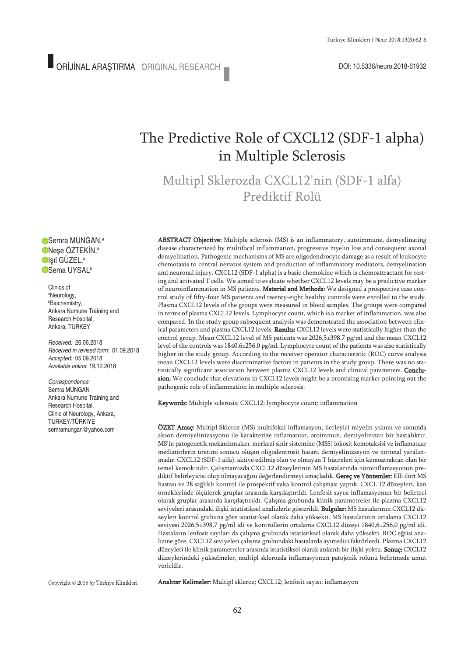# The Predictive Role of CXCL12 (SDF-1 alpha) in Multiple Sclerosis

Multipl Sklerozda CXCL12'nin (SDF-1 alfa) Prediktif Rolii

Semra MUNGAN, a Neşe ÖZTEKİN, a Işıl GÜZEL, a **OSema UYSAL**b

Clinics of a Neurology, b Biochemistry, Ankara Numune Training and Research Hospital, Ankara, TURKEY

*Received:* 26.06.2018 *Received in revised form:* 01.09.2018 *Accepted:* 05.09.2018 *Available online*: 19.12.2018

*Correspondence:* Semra MUNGAN Ankara Numune Training and Research Hospital, Clinic of Neurology, Ankara, TURKEY/TÜRKİYE semramungan@yahoo.com

ABSTRACT Objective: Multiple sclerosis (MS) is an inflammatory, autoimmune, demyelinating disease characterized by multifocal inflammation, progressive myelin loss and consequent axonal demyelination. Pathogenic mechanisms of MS are oligodendrocyte damage as a result of leukocyte chemotaxis to central nervous system and production of inflammatory mediators, demyelination and neuronal injury. CXCL12 (SDF-1 alpha) is a basic chemokine which is chemoattractant for resting and activated T cells. We aimed to evaluate whether CXCL12 levels may be a predictive marker of neuroinflammation in MS patients. Material and Methods: We designed a prospective case control study of fifty-four MS patients and twenty-eight healthy controls were enrolled to the study. Plasma CXCL12 levels of the groups were measured in blood samples. The groups were compared in terms of plasma CXCL12 levels. Lymphocyte count, which is a marker of inflammation, was also compared. In the study group subsequent analysis was demonstrated the association between clinical parameters and plasma CXCL12 levels. Results: CXCL12 levels were statistically higher than the control group. Mean CXCL12 level of MS patients was 2026,5±398,7 pg/ml and the mean CXCL12 level of the controls was 1840,6±256,0 pg/ml. Lymphocyte count of the patients was also statistically higher in the study group. According to the receiver operator characteristic (ROC) curve analysis mean CXCL12 levels were discriminative factors in patients in the study group. There was no statistically significant association between plasma CXCL12 levels and clinical parameters. Conclusion: We conclude that elevations in CXCL12 levels might be a promising marker pointing out the pathogenic role of inflammation in multiple sclerosis.

Keywords: Multiple sclerosis; CXCL12; lymphocyte count; inflammation

ÖZET Amaç: Multipl Skleroz (MS) multifokal inflamasyon, ilerleyici miyelin yıkımı ve sonunda akson demiyelinizasyonu ile karakterize inflamatuar, otoimmun, demiyelinizan bir hastalıktır. MS'in patogenetik mekanizmaları, merkezi sinir sistemine (MSS) lökosit kemotaksisi ve inflamatuar mediatörlerin üretimi sonucu oluşan oligodentrosit hasarı, demiyelinizasyon ve nöronal yaralanmadır. CXCL12 (SDF-1 alfa), aktive edilmiş olan ve olmayan T hücreleri için kemoatraktan olan bir temel kemokindir. Çalışmamızda CXCL12 düzeylerinin MS hastalarında nöroinflamasyonun prediktif belirleyicisi olup olmayacağını değerlendirmeyi amaçladık. Gereç ve Yöntemler: Elli dört MS hastası ve 28 sağlıklı kontrol ile prospektif vaka kontrol çalışması yaptık. CXCL 12 düzeyleri, kan örneklerinde ölçülerek gruplar arasında karşılaştırıldı. Lenfosit sayısı inflamasyonun bir belirteci olarak gruplar arasında karşılaştırıldı. Çalışma grubunda klinik parametreler ile plazma CXCL12 seviyeleri arasındaki ilişki istatistiksel analizlerle gösterildi. Bulgular: MS hastalarının CXCL12 düzeyleri kontrol grubuna göre istatistiksel olarak daha yüksekti. MS hastalarının ortalama CXCL12 seviyesi 2026,5±398,7 pg/ml idi ve kontrollerin ortalama CXCL12 düzeyi 1840,6±256,0 pg/ml idi. Hastaların lenfosit sayıları da çalışma grubunda istatistiksel olarak daha yüksekti. ROC eğrisi analizine göre, CXCL12 seviyeleri çalışma grubundaki hastalarda ayırtedici faktörlerdi. Plazma CXCL12 düzeyleri ile klinik parametreler arasında istatistiksel olarak anlamlı bir ilişki yoktu. Sonuç: CXCL12 düzeylerindeki yükselmeler, multipl sklerozda inflamasyonun patojenik rolünü belirtmede umut vericidir.

Copyright © 2018 by Türkiye Klinikleri

Anahtar Kelimeler: Multipl skleroz; CXCL12; lenfosit sayısı; inflamasyon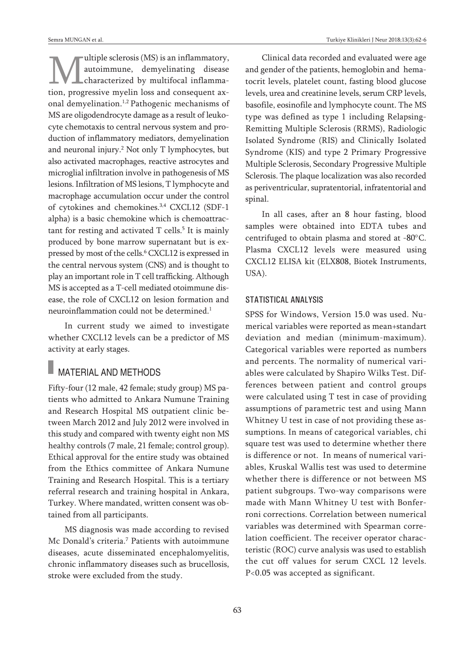ultiple sclerosis (MS) is an inflammatory, autoimmune, demyelinating disease characterized by multifocal inflammation, progressive myelin loss and consequent axonal demyelination. 1,2 Pathogenic mechanisms of MS are oligodendrocyte damage as a result of leukocyte chemotaxis to central nervous system and production of inflammatory mediators, demyelination and neuronal injury. <sup>2</sup> Not only T lymphocytes, but also activated macrophages, reactive astrocytes and microglial infiltration involve in pathogenesis of MS lesions. Infiltration of MS lesions, T lymphocyte and macrophage accumulation occur under the control of cytokines and chemokines. 3,4 CXCL12 (SDF-1 alpha) is a basic chemokine which is chemoattractant for resting and activated T cells. <sup>5</sup> It is mainly produced by bone marrow supernatant but is expressed by most of the cells. <sup>6</sup> CXCL12 is expressed in the central nervous system (CNS) and is thought to play an important role in T cell trafficking. Although MS is accepted as a T-cell mediated otoimmune disease, the role of CXCL12 on lesion formation and neuroinflammation could not be determined. 1

In current study we aimed to investigate whether CXCL12 levels can be a predictor of MS activity at early stages.

## **MATERIAL AND METHODS**

Fifty-four (12 male, 42 female; study group) MS patients who admitted to Ankara Numune Training and Research Hospital MS outpatient clinic between March 2012 and July 2012 were involved in this study and compared with twenty eight non MS healthy controls (7 male, 21 female; control group). Ethical approval for the entire study was obtained from the Ethics committee of Ankara Numune Training and Research Hospital. This is a tertiary referral research and training hospital in Ankara, Turkey. Where mandated, written consent was obtained from all participants.

MS diagnosis was made according to revised Mc Donald's criteria. <sup>7</sup> Patients with autoimmune diseases, acute disseminated encephalomyelitis, chronic inflammatory diseases such as brucellosis, stroke were excluded from the study.

Clinical data recorded and evaluated were age and gender of the patients, hemoglobin and hematocrit levels, platelet count, fasting blood glucose levels, urea and creatinine levels, serum CRP levels, basofile, eosinofile and lymphocyte count. The MS type was defined as type 1 including Relapsing-Remitting Multiple Sclerosis (RRMS), Radiologic Isolated Syndrome (RIS) and Clinically Isolated Syndrome (KIS) and type 2 Primary Progressive Multiple Sclerosis, Secondary Progressive Multiple Sclerosis. The plaque localization was also recorded as periventricular, supratentorial, infratentorial and spinal.

In all cases, after an 8 hour fasting, blood samples were obtained into EDTA tubes and centrifuged to obtain plasma and stored at -80°C. Plasma CXCL12 levels were measured using CXCL12 ELISA kit (ELX808, Biotek Instruments, USA).

### STATISTICAL ANALYSIS

SPSS for Windows, Version 15.0 was used. Numerical variables were reported as mean+standart deviation and median (minimum-maximum). Categorical variables were reported as numbers and percents. The normality of numerical variables were calculated by Shapiro Wilks Test. Differences between patient and control groups were calculated using T test in case of providing assumptions of parametric test and using Mann Whitney U test in case of not providing these assumptions. In means of categorical variables, chi square test was used to determine whether there is difference or not. In means of numerical variables, Kruskal Wallis test was used to determine whether there is difference or not between MS patient subgroups. Two-way comparisons were made with Mann Whitney U test with Bonferroni corrections. Correlation between numerical variables was determined with Spearman correlation coefficient. The receiver operator characteristic (ROC) curve analysis was used to establish the cut off values for serum CXCL 12 levels. P<0.05 was accepted as significant.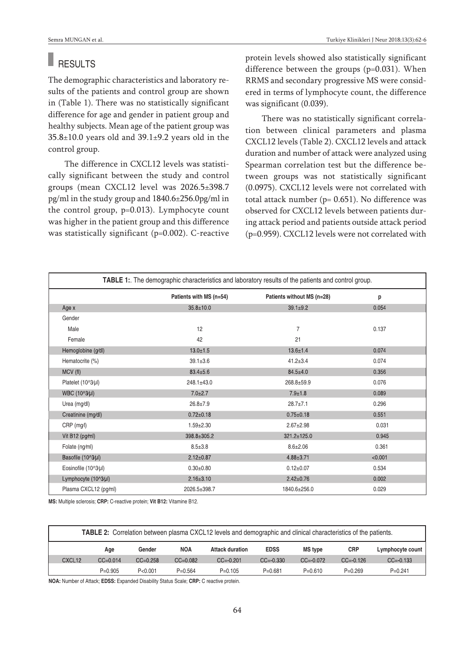#### H. **RESULTS**

The demographic characteristics and laboratory results of the patients and control group are shown in (Table 1). There was no statistically significant difference for age and gender in patient group and healthy subjects. Mean age of the patient group was 35.8±10.0 years old and 39.1±9.2 years old in the control group.

The difference in CXCL12 levels was statistically significant between the study and control groups (mean CXCL12 level was 2026.5±398.7 pg/ml in the study group and 1840.6±256.0pg/ml in the control group, p=0.013). Lymphocyte count was higher in the patient group and this difference was statistically significant (p=0.002). C-reactive protein levels showed also statistically significant difference between the groups (p=0.031). When RRMS and secondary progressive MS were considered in terms of lymphocyte count, the difference was significant (0.039).

There was no statistically significant correlation between clinical parameters and plasma CXCL12 levels (Table 2). CXCL12 levels and attack duration and number of attack were analyzed using Spearman correlation test but the difference between groups was not statistically significant (0.0975). CXCL12 levels were not correlated with total attack number (p= 0.651). No difference was observed for CXCL12 levels between patients during attack period and patients outside attack period (p=0.959). CXCL12 levels were not correlated with

| <b>TABLE 1:</b> The demographic characteristics and laboratory results of the patients and control group. |                         |                            |         |  |  |  |
|-----------------------------------------------------------------------------------------------------------|-------------------------|----------------------------|---------|--|--|--|
|                                                                                                           | Patients with MS (n=54) | Patients without MS (n=28) | p       |  |  |  |
| Age x                                                                                                     | $35.8 \pm 10.0$         | $39.1 \pm 9.2$             | 0.054   |  |  |  |
| Gender                                                                                                    |                         |                            |         |  |  |  |
| Male                                                                                                      | 12                      | $\overline{7}$             | 0.137   |  |  |  |
| Female                                                                                                    | 42                      | 21                         |         |  |  |  |
| Hemoglobine (g/dl)                                                                                        | $13.0 \pm 1.5$          | $13.6 \pm 1.4$             | 0.074   |  |  |  |
| Hematocrite (%)                                                                                           | $39.1 \pm 3.6$          | $41.2 \pm 3.4$             | 0.074   |  |  |  |
| MCV (fl)                                                                                                  | $83.4 \pm 5.6$          | $84.5 \pm 4.0$             | 0.356   |  |  |  |
| Platelet (10^3/µl)                                                                                        | 248.1±43.0              | 268.8±59.9                 | 0.076   |  |  |  |
| WBC (10^3/µl)                                                                                             | $7.0 + 2.7$             | $7.9 + 1.8$                | 0.089   |  |  |  |
| Urea (mg/dl)                                                                                              | $26.8 \pm 7.9$          | $28.7 + 7.1$               | 0.296   |  |  |  |
| Creatinine (mg/dl)                                                                                        | $0.72 \pm 0.18$         | $0.75 \pm 0.18$            | 0.551   |  |  |  |
| CRP (mg/l)                                                                                                | $1.59 \pm 2.30$         | $2.67 \pm 2.98$            | 0.031   |  |  |  |
| Vit B12 ( $pg/ml$ )                                                                                       | 398.8±305.2             | $321.2 \pm 125.0$          | 0.945   |  |  |  |
| Folate (ng/ml)                                                                                            | $8.5 \pm 3.8$           | $8.6 + 2.06$               | 0.361   |  |  |  |
| Basofile (10^3/µl)                                                                                        | $2.12 \pm 0.87$         | $4.88 \pm 3.71$            | < 0.001 |  |  |  |
| Eosinofile (10^3/µl)                                                                                      | $0.30 + 0.80$           | $0.12 \pm 0.07$            | 0.534   |  |  |  |
| Lymphocyte (10^3/µl)                                                                                      | $2.16 \pm 3.10$         | $2.42 \pm 0.76$            | 0.002   |  |  |  |
| Plasma CXCL12 (pg/ml)                                                                                     | 2026.5±398.7            | 1840.6±256.0               | 0.029   |  |  |  |

**MS:** Multiple sclerosis; **CRP:** C-reactive protein; **Vit B12:** Vitamine B12.

| <b>TABLE 2:</b> Correlation between plasma CXCL12 levels and demographic and clinical characteristics of the patients. |              |              |              |                        |               |                |               |                  |
|------------------------------------------------------------------------------------------------------------------------|--------------|--------------|--------------|------------------------|---------------|----------------|---------------|------------------|
|                                                                                                                        | Age          | Gender       | <b>NOA</b>   | <b>Attack duration</b> | <b>EDSS</b>   | <b>MS</b> type | <b>CRP</b>    | Lymphocyte count |
| CXCL <sub>12</sub>                                                                                                     | $CC = 0.014$ | $CC = 0.258$ | $CC = 0.082$ | $CC = -0.201$          | $CC = -0.330$ | $CC = -0.072$  | $CC = -0.126$ | $CC = -0.133$    |
|                                                                                                                        | $P=0.905$    | P < 0.001    | $P=0.564$    | $P=0.105$              | $P = 0.681$   | $P = 0.610$    | $P=0.269$     | $P=0.241$        |

**NOA:** Number of Attack; **EDSS:** Expanded Disability Status Scale; **CRP:** C reactive protein.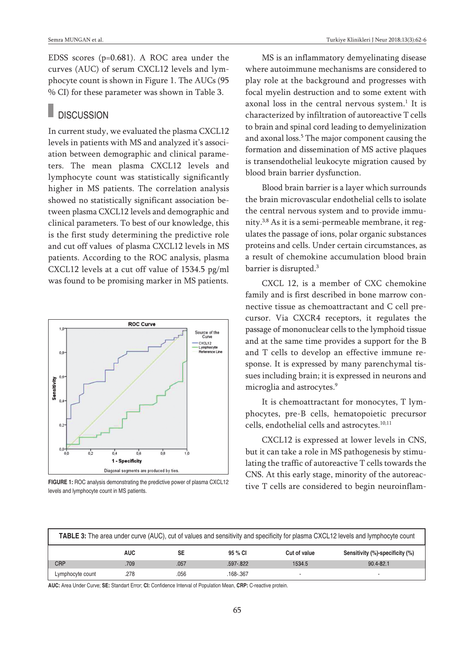EDSS scores (p=0.681). A ROC area under the curves (AUC) of serum CXCL12 levels and lymphocyte count is shown in Figure 1. The AUCs (95 % CI) for these parameter was shown in Table 3.

### **DISCUSSION**

In current study, we evaluated the plasma CXCL12 levels in patients with MS and analyzed it's association between demographic and clinical parameters. The mean plasma CXCL12 levels and lymphocyte count was statistically significantly higher in MS patients. The correlation analysis showed no statistically significant association between plasma CXCL12 levels and demographic and clinical parameters. To best of our knowledge, this is the first study determining the predictive role and cut off values of plasma CXCL12 levels in MS patients. According to the ROC analysis, plasma CXCL12 levels at a cut off value of 1534.5 pg/ml was found to be promising marker in MS patients.



levels and lymphocyte count in MS patients.

MS is an inflammatory demyelinating disease where autoimmune mechanisms are considered to play role at the background and progresses with focal myelin destruction and to some extent with axonal loss in the central nervous system. <sup>1</sup> It is characterized by infiltration of autoreactive T cells to brain and spinal cord leading to demyelinization and axonal loss. <sup>5</sup> The major component causing the formation and dissemination of MS active plaques is transendothelial leukocyte migration caused by blood brain barrier dysfunction.

Blood brain barrier is a layer which surrounds the brain microvascular endothelial cells to isolate the central nervous system and to provide immunity. 3,8 As it is a semi-permeable membrane, it regulates the passage of ions, polar organic substances proteins and cells. Under certain circumstances, as a result of chemokine accumulation blood brain barrier is disrupted. 3

CXCL 12, is a member of CXC chemokine family and is first described in bone marrow connective tissue as chemoattractant and C cell precursor. Via CXCR4 receptors, it regulates the passage of mononuclear cells to the lymphoid tissue and at the same time provides a support for the B and T cells to develop an effective immune response. It is expressed by many parenchymal tissues including brain; it is expressed in neurons and microglia and astrocytes. 9

It is chemoattractant for monocytes, T lymphocytes, pre-B cells, hematopoietic precursor cells, endothelial cells and astrocytes. 10,11

CXCL12 is expressed at lower levels in CNS, but it can take a role in MS pathogenesis by stimulating the traffic of autoreactive T cells towards the CNS. At this early stage, minority of the autoreac-FIGURE 1: ROC analysis demonstrating the predictive power of plasma CXCL12 tive T cells are considered to begin neuroinflam-

| <b>TABLE 3:</b> The area under curve (AUC), cut of values and sensitivity and specificity for plasma CXCL12 levels and lymphocyte count |            |           |              |              |                                 |
|-----------------------------------------------------------------------------------------------------------------------------------------|------------|-----------|--------------|--------------|---------------------------------|
|                                                                                                                                         | <b>AUC</b> | <b>SE</b> | 95 % CI      | Cut of value | Sensitivity (%)-specificity (%) |
| <b>CRP</b>                                                                                                                              | 709        | .057      | $.597 - 822$ | 1534.5       | $90.4 - 82.1$                   |
| Lymphocyte count                                                                                                                        | .278       | .056      | .168-.367    |              |                                 |

**AUC:** Area Under Curve; **SE:** Standart Error; **CI:** Confidence Interval of Population Mean, **CRP:** C-reactive protein.